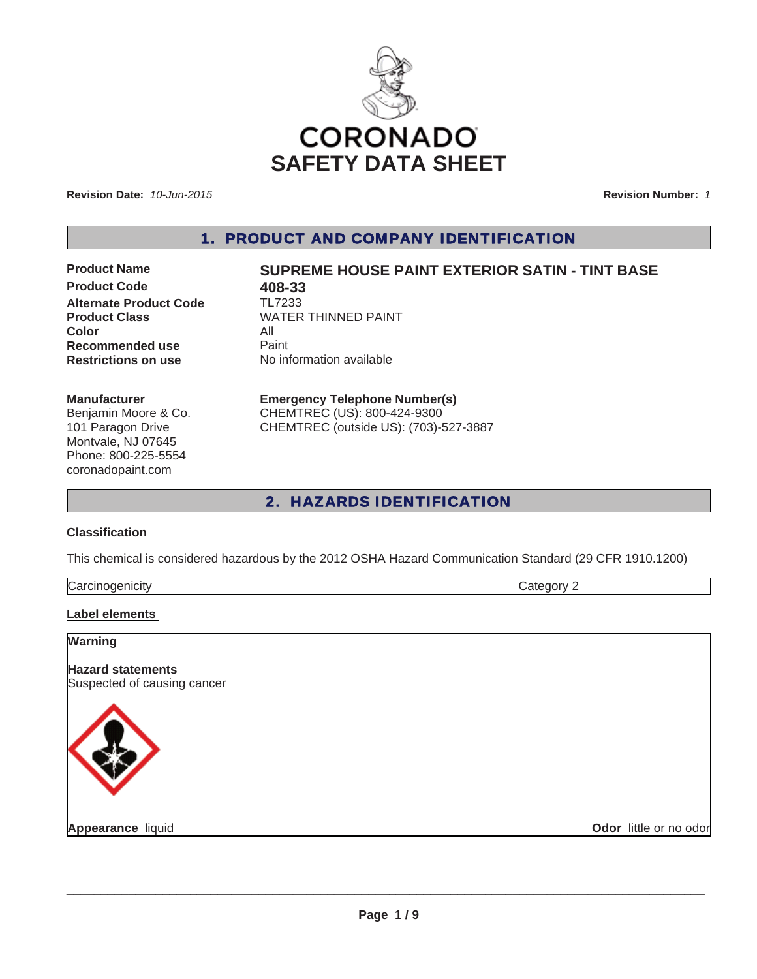

**Revision Date:** *10-Jun-2015*

**Revision Number:** *1*

1. PRODUCT AND COMPANY IDENTIFICATION

**Product Code 618-33**<br>**Alternate Product Code** TL7233 **Alternate Product Code Color** All **Recommended use** Paint<br> **Restrictions on use** No inf

# **Product Name SUPREME HOUSE PAINT EXTERIOR SATIN - TINT BASE**

**Product Class** WATER THINNED PAINT **No information available** 

### **Manufacturer**

Benjamin Moore & Co. 101 Paragon Drive Montvale, NJ 07645 Phone: 800-225-5554 coronadopaint.com

# **Emergency Telephone Number(s)**

CHEMTREC (US): 800-424-9300 CHEMTREC (outside US): (703)-527-3887

# 2. HAZARDS IDENTIFICATION

### **Classification**

This chemical is considered hazardous by the 2012 OSHA Hazard Communication Standard (29 CFR 1910.1200)

| lCa. |  |
|------|--|
|      |  |

## **Label elements**

| <b>Warning</b>                                          |                        |
|---------------------------------------------------------|------------------------|
| <b>Hazard statements</b><br>Suspected of causing cancer |                        |
|                                                         |                        |
| Appearance liquid                                       | Odor little or no odor |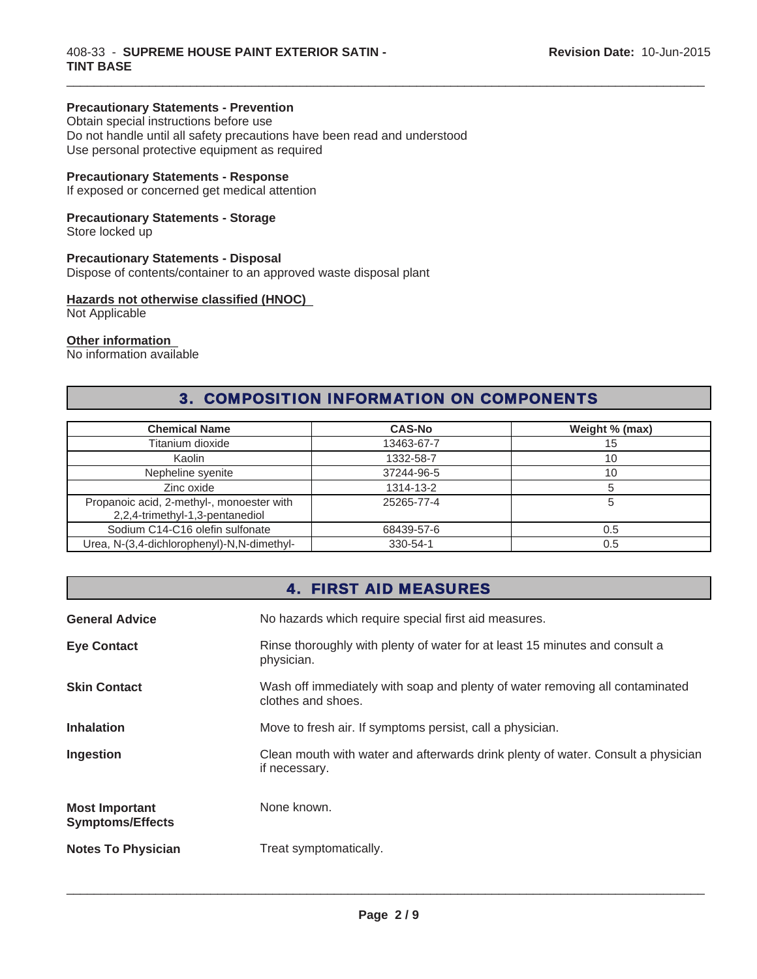## **Precautionary Statements - Prevention**

Obtain special instructions before use Do not handle until all safety precautions have been read and understood Use personal protective equipment as required

## **Precautionary Statements - Response**

If exposed or concerned get medical attention

## **Precautionary Statements - Storage**

Store locked up

## **Precautionary Statements - Disposal**

Dispose of contents/container to an approved waste disposal plant

# **Hazards not otherwise classified (HNOC)**

Not Applicable

### **Other information**

No information available

# 3. COMPOSITION INFORMATION ON COMPONENTS

 $\_$  ,  $\_$  ,  $\_$  ,  $\_$  ,  $\_$  ,  $\_$  ,  $\_$  ,  $\_$  ,  $\_$  ,  $\_$  ,  $\_$  ,  $\_$  ,  $\_$  ,  $\_$  ,  $\_$  ,  $\_$  ,  $\_$  ,  $\_$  ,  $\_$  ,  $\_$  ,  $\_$  ,  $\_$  ,  $\_$  ,  $\_$  ,  $\_$  ,  $\_$  ,  $\_$  ,  $\_$  ,  $\_$  ,  $\_$  ,  $\_$  ,  $\_$  ,  $\_$  ,  $\_$  ,  $\_$  ,  $\_$  ,  $\_$  ,

| <b>Chemical Name</b>                                                         | <b>CAS-No</b> | Weight % (max) |
|------------------------------------------------------------------------------|---------------|----------------|
| Titanium dioxide                                                             | 13463-67-7    | 15             |
| Kaolin                                                                       | 1332-58-7     | 10             |
| Nepheline syenite                                                            | 37244-96-5    | 10             |
| Zinc oxide                                                                   | 1314-13-2     |                |
| Propanoic acid, 2-methyl-, monoester with<br>2,2,4-trimethyl-1,3-pentanediol | 25265-77-4    |                |
| Sodium C14-C16 olefin sulfonate                                              | 68439-57-6    | 0.5            |
| Urea, N-(3,4-dichlorophenyl)-N,N-dimethyl-                                   | 330-54-1      | 0.5            |

# 4. FIRST AID MEASURES

| <b>General Advice</b>                            | No hazards which require special first aid measures.                                               |
|--------------------------------------------------|----------------------------------------------------------------------------------------------------|
| <b>Eye Contact</b>                               | Rinse thoroughly with plenty of water for at least 15 minutes and consult a<br>physician.          |
| <b>Skin Contact</b>                              | Wash off immediately with soap and plenty of water removing all contaminated<br>clothes and shoes. |
| <b>Inhalation</b>                                | Move to fresh air. If symptoms persist, call a physician.                                          |
| Ingestion                                        | Clean mouth with water and afterwards drink plenty of water. Consult a physician<br>if necessary.  |
| <b>Most Important</b><br><b>Symptoms/Effects</b> | None known.                                                                                        |
| <b>Notes To Physician</b>                        | Treat symptomatically.                                                                             |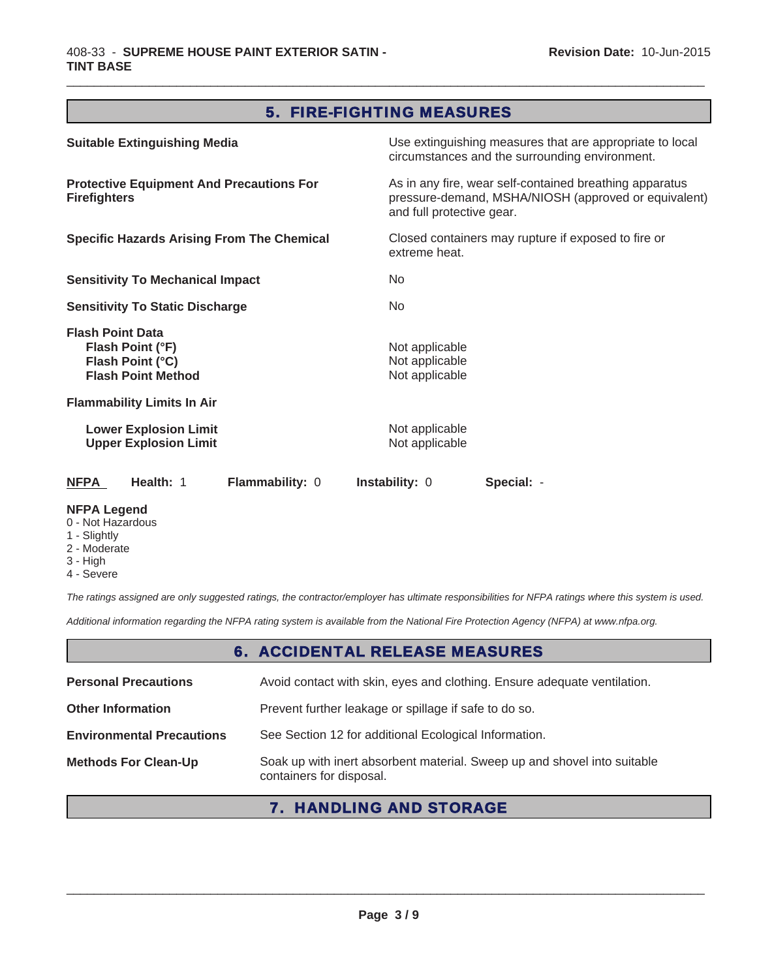# 5. FIRE-FIGHTING MEASURES

 $\_$  ,  $\_$  ,  $\_$  ,  $\_$  ,  $\_$  ,  $\_$  ,  $\_$  ,  $\_$  ,  $\_$  ,  $\_$  ,  $\_$  ,  $\_$  ,  $\_$  ,  $\_$  ,  $\_$  ,  $\_$  ,  $\_$  ,  $\_$  ,  $\_$  ,  $\_$  ,  $\_$  ,  $\_$  ,  $\_$  ,  $\_$  ,  $\_$  ,  $\_$  ,  $\_$  ,  $\_$  ,  $\_$  ,  $\_$  ,  $\_$  ,  $\_$  ,  $\_$  ,  $\_$  ,  $\_$  ,  $\_$  ,  $\_$  ,

| <b>Suitable Extinguishing Media</b>                                                          | Use extinguishing measures that are appropriate to local<br>circumstances and the surrounding environment.                                   |
|----------------------------------------------------------------------------------------------|----------------------------------------------------------------------------------------------------------------------------------------------|
| <b>Protective Equipment And Precautions For</b><br><b>Firefighters</b>                       | As in any fire, wear self-contained breathing apparatus<br>pressure-demand, MSHA/NIOSH (approved or equivalent)<br>and full protective gear. |
| <b>Specific Hazards Arising From The Chemical</b>                                            | Closed containers may rupture if exposed to fire or<br>extreme heat.                                                                         |
| <b>Sensitivity To Mechanical Impact</b>                                                      | No                                                                                                                                           |
| <b>Sensitivity To Static Discharge</b>                                                       | No                                                                                                                                           |
| <b>Flash Point Data</b><br>Flash Point (°F)<br>Flash Point (°C)<br><b>Flash Point Method</b> | Not applicable<br>Not applicable<br>Not applicable                                                                                           |
| <b>Flammability Limits In Air</b>                                                            |                                                                                                                                              |
| <b>Lower Explosion Limit</b><br><b>Upper Explosion Limit</b>                                 | Not applicable<br>Not applicable                                                                                                             |
| <b>NFPA</b><br>Health: 1<br>Flammability: 0                                                  | <b>Instability: 0</b><br>Special: -                                                                                                          |
| <b>NFPA Legend</b>                                                                           |                                                                                                                                              |

- 0 Not Hazardous
- 1 Slightly 2 - Moderate
- 3 High
- 4 Severe

*The ratings assigned are only suggested ratings, the contractor/employer has ultimate responsibilities for NFPA ratings where this system is used.*

*Additional information regarding the NFPA rating system is available from the National Fire Protection Agency (NFPA) at www.nfpa.org.*

# 6. ACCIDENTAL RELEASE MEASURES

| <b>Personal Precautions</b>      | Avoid contact with skin, eyes and clothing. Ensure adequate ventilation.                             |
|----------------------------------|------------------------------------------------------------------------------------------------------|
| <b>Other Information</b>         | Prevent further leakage or spillage if safe to do so.                                                |
| <b>Environmental Precautions</b> | See Section 12 for additional Ecological Information.                                                |
| <b>Methods For Clean-Up</b>      | Soak up with inert absorbent material. Sweep up and shovel into suitable<br>containers for disposal. |

# 7. HANDLING AND STORAGE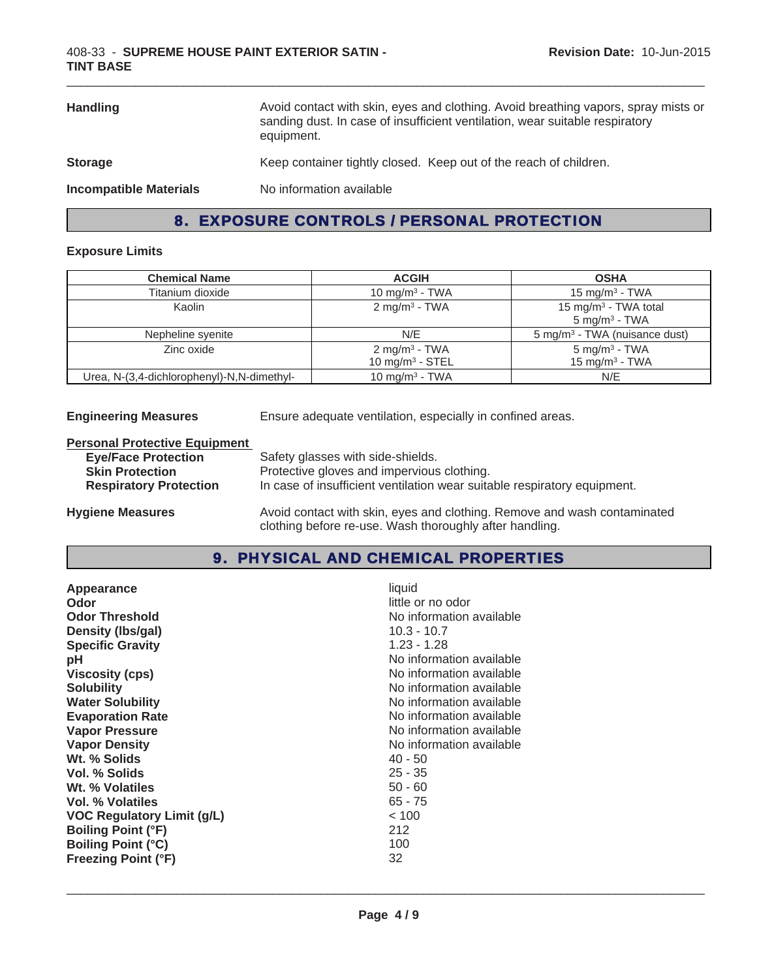| <b>Handling</b>               | Avoid contact with skin, eyes and clothing. Avoid breathing vapors, spray mists or<br>sanding dust. In case of insufficient ventilation, wear suitable respiratory<br>equipment. |
|-------------------------------|----------------------------------------------------------------------------------------------------------------------------------------------------------------------------------|
| <b>Storage</b>                | Keep container tightly closed. Keep out of the reach of children.                                                                                                                |
| <b>Incompatible Materials</b> | No information available                                                                                                                                                         |

# 8. EXPOSURE CONTROLS / PERSONAL PROTECTION

## **Exposure Limits**

| <b>Chemical Name</b>                       | <b>ACGIH</b>                                    | <b>OSHA</b>                                                  |
|--------------------------------------------|-------------------------------------------------|--------------------------------------------------------------|
| Titanium dioxide                           | 10 mg/m <sup>3</sup> - TWA                      | 15 mg/m <sup>3</sup> - TWA                                   |
| Kaolin                                     | 2 mg/m <sup>3</sup> - TWA                       | 15 mg/m <sup>3</sup> - TWA total<br>$5 \text{ mg/m}^3$ - TWA |
| Nepheline syenite                          | N/E                                             | 5 mg/m <sup>3</sup> - TWA (nuisance dust)                    |
| Zinc oxide                                 | 2 mg/m <sup>3</sup> - TWA<br>10 mg/m $3 -$ STEL | $5$ mg/m <sup>3</sup> - TWA<br>15 mg/m $3$ - TWA             |
| Urea, N-(3,4-dichlorophenyl)-N,N-dimethyl- | 10 mg/m <sup>3</sup> - TWA                      | N/E                                                          |

**Engineering Measures** Ensure adequate ventilation, especially in confined areas.

## **Personal Protective Equipment**

| <b>Eye/Face Protection</b>    | Safety glasses with side-shields.                                        |
|-------------------------------|--------------------------------------------------------------------------|
| <b>Skin Protection</b>        | Protective gloves and impervious clothing.                               |
| <b>Respiratory Protection</b> | In case of insufficient ventilation wear suitable respiratory equipment. |
|                               |                                                                          |

**Hygiene Measures** Avoid contact with skin, eyes and clothing. Remove and wash contaminated clothing before re-use. Wash thoroughly after handling.

# 9. PHYSICAL AND CHEMICAL PROPERTIES

| <b>Odor Threshold</b><br>No information available<br>$10.3 - 10.7$<br>Density (Ibs/gal)<br>$1.23 - 1.28$<br><b>Specific Gravity</b><br>No information available<br>рH<br>No information available<br><b>Viscosity (cps)</b><br>No information available<br><b>Solubility</b><br><b>Water Solubility</b><br>No information available<br>No information available<br><b>Evaporation Rate</b><br>No information available<br><b>Vapor Pressure</b><br><b>Vapor Density</b><br>No information available<br>Wt. % Solids<br>$40 - 50$<br>$25 - 35$<br>Vol. % Solids<br>Wt. % Volatiles<br>$50 - 60$<br>$65 - 75$<br>Vol. % Volatiles<br>< 100<br>VOC Regulatory Limit (g/L)<br>212<br><b>Boiling Point (°F)</b><br>100<br><b>Boiling Point (°C)</b> |  |
|------------------------------------------------------------------------------------------------------------------------------------------------------------------------------------------------------------------------------------------------------------------------------------------------------------------------------------------------------------------------------------------------------------------------------------------------------------------------------------------------------------------------------------------------------------------------------------------------------------------------------------------------------------------------------------------------------------------------------------------------|--|
| 32<br><b>Freezing Point (°F)</b>                                                                                                                                                                                                                                                                                                                                                                                                                                                                                                                                                                                                                                                                                                               |  |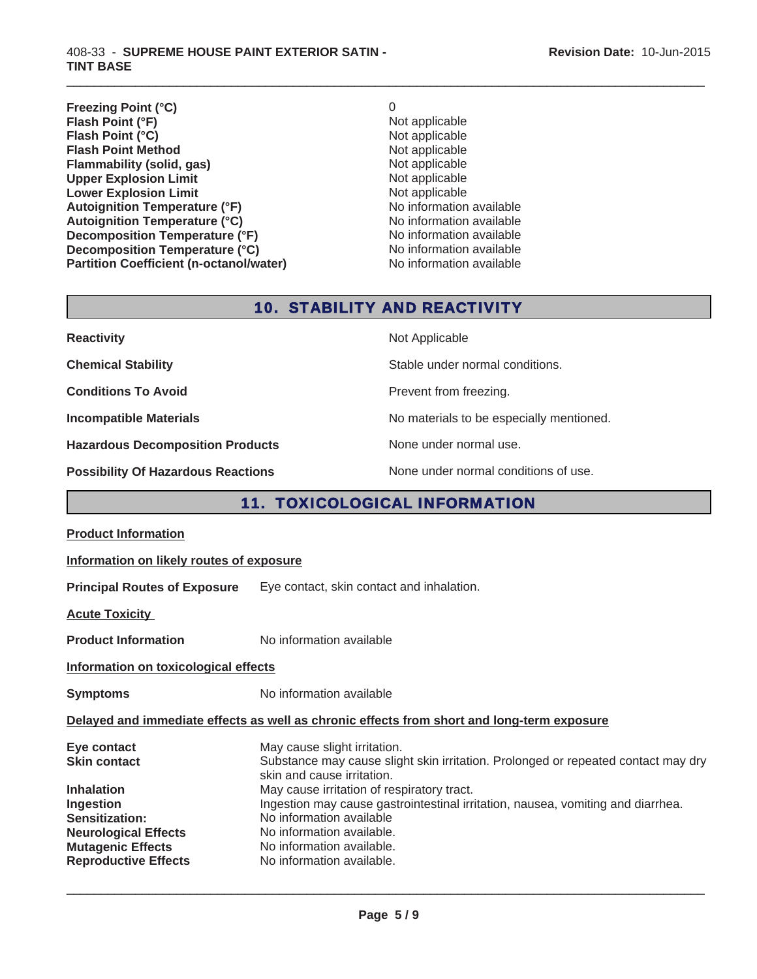#### 408-33 - **SUPREME HOUSE PAINT EXTERIOR SATIN - TINT BASE**

**Freezing Point (°C)** 0<br> **Flash Point (°F)** 0<br>
Not applicable **Flash Point (°F)**<br> **Flash Point (°C)**<br> **Flash Point (°C)**<br> **Not** applicable<br>
Not applicable **Flash Point (°C)**<br> **Flash Point Method**<br> **Flash Point Method**<br> **CO Flash Point Method**<br> **Flammability (solid, gas)** Not applicable Not applicable **Flammability (solid, gas)** Not applicable Upper Explosion Limit **Upper Explosion Limit**<br> **Lower Explosion Limit**<br> **Lower Explosion Limit**<br> **Not applicable Lower Explosion Limit**<br> **Autoignition Temperature (°F)** Not applicable Not applicable available **Autoignition Temperature (°F)**<br> **Autoignition Temperature (°C)** No information available Autoignition Temperature (°C) **Decomposition Temperature (°F)** No information available **Decomposition Temperature (°C)** No information available **Partition Coefficient (n-octanol/water)** No information available

 $\_$  ,  $\_$  ,  $\_$  ,  $\_$  ,  $\_$  ,  $\_$  ,  $\_$  ,  $\_$  ,  $\_$  ,  $\_$  ,  $\_$  ,  $\_$  ,  $\_$  ,  $\_$  ,  $\_$  ,  $\_$  ,  $\_$  ,  $\_$  ,  $\_$  ,  $\_$  ,  $\_$  ,  $\_$  ,  $\_$  ,  $\_$  ,  $\_$  ,  $\_$  ,  $\_$  ,  $\_$  ,  $\_$  ,  $\_$  ,  $\_$  ,  $\_$  ,  $\_$  ,  $\_$  ,  $\_$  ,  $\_$  ,  $\_$  ,

# 10. STABILITY AND REACTIVITY

| <b>Reactivity</b>                         | Not Applicable                           |
|-------------------------------------------|------------------------------------------|
| <b>Chemical Stability</b>                 | Stable under normal conditions.          |
| <b>Conditions To Avoid</b>                | Prevent from freezing.                   |
| <b>Incompatible Materials</b>             | No materials to be especially mentioned. |
| <b>Hazardous Decomposition Products</b>   | None under normal use.                   |
| <b>Possibility Of Hazardous Reactions</b> | None under normal conditions of use.     |

# 11. TOXICOLOGICAL INFORMATION

| <b>Product Information</b>                                                                                                                               |                                                                                                                                                                                                                                                  |  |  |
|----------------------------------------------------------------------------------------------------------------------------------------------------------|--------------------------------------------------------------------------------------------------------------------------------------------------------------------------------------------------------------------------------------------------|--|--|
|                                                                                                                                                          | Information on likely routes of exposure                                                                                                                                                                                                         |  |  |
| <b>Principal Routes of Exposure</b>                                                                                                                      | Eye contact, skin contact and inhalation.                                                                                                                                                                                                        |  |  |
| <b>Acute Toxicity</b>                                                                                                                                    |                                                                                                                                                                                                                                                  |  |  |
| <b>Product Information</b>                                                                                                                               | No information available                                                                                                                                                                                                                         |  |  |
| Information on toxicological effects                                                                                                                     |                                                                                                                                                                                                                                                  |  |  |
| <b>Symptoms</b>                                                                                                                                          | No information available                                                                                                                                                                                                                         |  |  |
|                                                                                                                                                          | Delayed and immediate effects as well as chronic effects from short and long-term exposure                                                                                                                                                       |  |  |
| Eye contact<br>Skin contact                                                                                                                              | May cause slight irritation.<br>Substance may cause slight skin irritation. Prolonged or repeated contact may dry<br>skin and cause irritation.                                                                                                  |  |  |
| <b>Inhalation</b><br><b>Ingestion</b><br><b>Sensitization:</b><br><b>Neurological Effects</b><br><b>Mutagenic Effects</b><br><b>Reproductive Effects</b> | May cause irritation of respiratory tract.<br>Ingestion may cause gastrointestinal irritation, nausea, vomiting and diarrhea.<br>No information available<br>No information available.<br>No information available.<br>No information available. |  |  |
|                                                                                                                                                          |                                                                                                                                                                                                                                                  |  |  |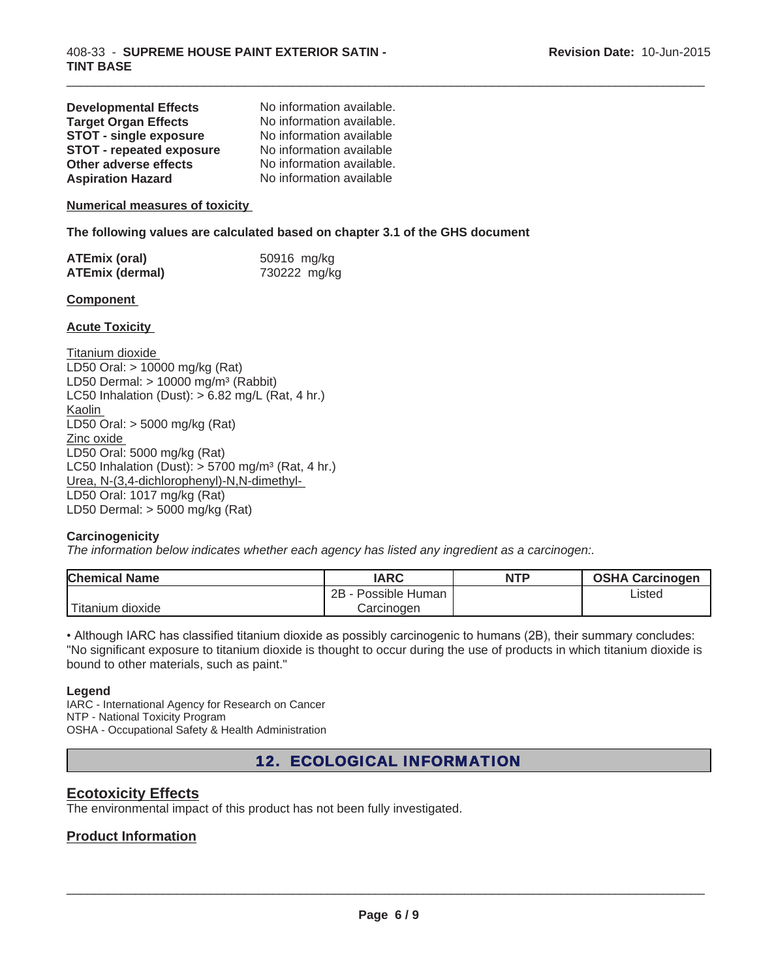| <b>Developmental Effects</b>    | No information available. |
|---------------------------------|---------------------------|
| <b>Target Organ Effects</b>     | No information available. |
| <b>STOT - single exposure</b>   | No information available  |
| <b>STOT - repeated exposure</b> | No information available  |
| <b>Other adverse effects</b>    | No information available. |
| <b>Aspiration Hazard</b>        | No information available  |

#### **Numerical measures of toxicity**

**The following values are calculated based on chapter 3.1 of the GHS document**

| <b>ATEmix (oral)</b>   | 50916 mg/kg  |
|------------------------|--------------|
| <b>ATEmix (dermal)</b> | 730222 mg/kg |

#### **Component**

#### **Acute Toxicity**

Titanium dioxide LD50 Oral: > 10000 mg/kg (Rat) LD50 Dermal:  $> 10000$  mg/m<sup>3</sup> (Rabbit) LC50 Inhalation (Dust):  $> 6.82$  mg/L (Rat, 4 hr.) Kaolin LD50 Oral: > 5000 mg/kg (Rat) Zinc oxide LD50 Oral: 5000 mg/kg (Rat) LC50 Inhalation (Dust):  $> 5700$  mg/m<sup>3</sup> (Rat, 4 hr.) Urea, N-(3,4-dichlorophenyl)-N,N-dimethyl-LD50 Oral: 1017 mg/kg (Rat) LD50 Dermal: > 5000 mg/kg (Rat)

### **Carcinogenicity**

*The information below indicates whether each agency has listed any ingredient as a carcinogen:.*

| <b>Chemical Name</b> | <b>IARC</b>            | <b>NTP</b> | <b>OSHA Carcinogen</b> |
|----------------------|------------------------|------------|------------------------|
|                      | 2B<br>· Possible Human |            | ∟isted                 |
| Titanium dioxide     | Carcinoɑen             |            |                        |

 $\_$  ,  $\_$  ,  $\_$  ,  $\_$  ,  $\_$  ,  $\_$  ,  $\_$  ,  $\_$  ,  $\_$  ,  $\_$  ,  $\_$  ,  $\_$  ,  $\_$  ,  $\_$  ,  $\_$  ,  $\_$  ,  $\_$  ,  $\_$  ,  $\_$  ,  $\_$  ,  $\_$  ,  $\_$  ,  $\_$  ,  $\_$  ,  $\_$  ,  $\_$  ,  $\_$  ,  $\_$  ,  $\_$  ,  $\_$  ,  $\_$  ,  $\_$  ,  $\_$  ,  $\_$  ,  $\_$  ,  $\_$  ,  $\_$  ,

• Although IARC has classified titanium dioxide as possibly carcinogenic to humans (2B), their summary concludes: "No significant exposure to titanium dioxide is thought to occur during the use of products in which titanium dioxide is bound to other materials, such as paint."

#### **Legend**

IARC - International Agency for Research on Cancer NTP - National Toxicity Program OSHA - Occupational Safety & Health Administration

# 12. ECOLOGICAL INFORMATION

## **Ecotoxicity Effects**

The environmental impact of this product has not been fully investigated.

## **Product Information**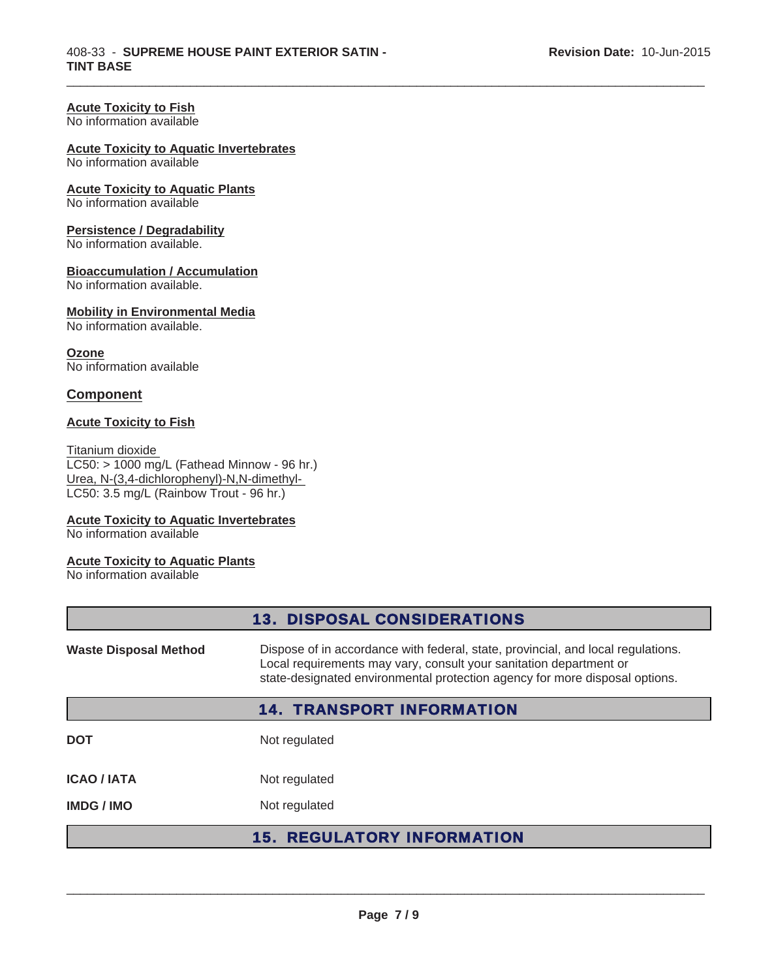### **Acute Toxicity to Fish**

No information available

#### **Acute Toxicity to Aquatic Invertebrates**

No information available

## **Acute Toxicity to Aquatic Plants**

No information available

#### **Persistence / Degradability**

No information available.

#### **Bioaccumulation / Accumulation**

No information available.

#### **Mobility in Environmental Media**

No information available.

#### **Ozone**

No information available

## **Component**

## **Acute Toxicity to Fish**

Titanium dioxide LC50: > 1000 mg/L (Fathead Minnow - 96 hr.) Urea, N-(3,4-dichlorophenyl)-N,N-dimethyl-LC50: 3.5 mg/L (Rainbow Trout - 96 hr.)

### **Acute Toxicity to Aquatic Invertebrates**

No information available

#### **Acute Toxicity to Aquatic Plants**

No information available

|                                                                                                                                                                                                                                                                       | <b>13. DISPOSAL CONSIDERATIONS</b>     |
|-----------------------------------------------------------------------------------------------------------------------------------------------------------------------------------------------------------------------------------------------------------------------|----------------------------------------|
| Dispose of in accordance with federal, state, provincial, and local regulations.<br><b>Waste Disposal Method</b><br>Local requirements may vary, consult your sanitation department or<br>state-designated environmental protection agency for more disposal options. |                                        |
|                                                                                                                                                                                                                                                                       | <b>14. TRANSPORT INFORMATION</b>       |
| <b>DOT</b>                                                                                                                                                                                                                                                            | Not regulated                          |
| <b>ICAO/IATA</b>                                                                                                                                                                                                                                                      | Not regulated                          |
| <b>IMDG/IMO</b>                                                                                                                                                                                                                                                       | Not regulated                          |
|                                                                                                                                                                                                                                                                       | <b>REGULATORY INFORMATION</b><br>15. . |

 $\_$  ,  $\_$  ,  $\_$  ,  $\_$  ,  $\_$  ,  $\_$  ,  $\_$  ,  $\_$  ,  $\_$  ,  $\_$  ,  $\_$  ,  $\_$  ,  $\_$  ,  $\_$  ,  $\_$  ,  $\_$  ,  $\_$  ,  $\_$  ,  $\_$  ,  $\_$  ,  $\_$  ,  $\_$  ,  $\_$  ,  $\_$  ,  $\_$  ,  $\_$  ,  $\_$  ,  $\_$  ,  $\_$  ,  $\_$  ,  $\_$  ,  $\_$  ,  $\_$  ,  $\_$  ,  $\_$  ,  $\_$  ,  $\_$  ,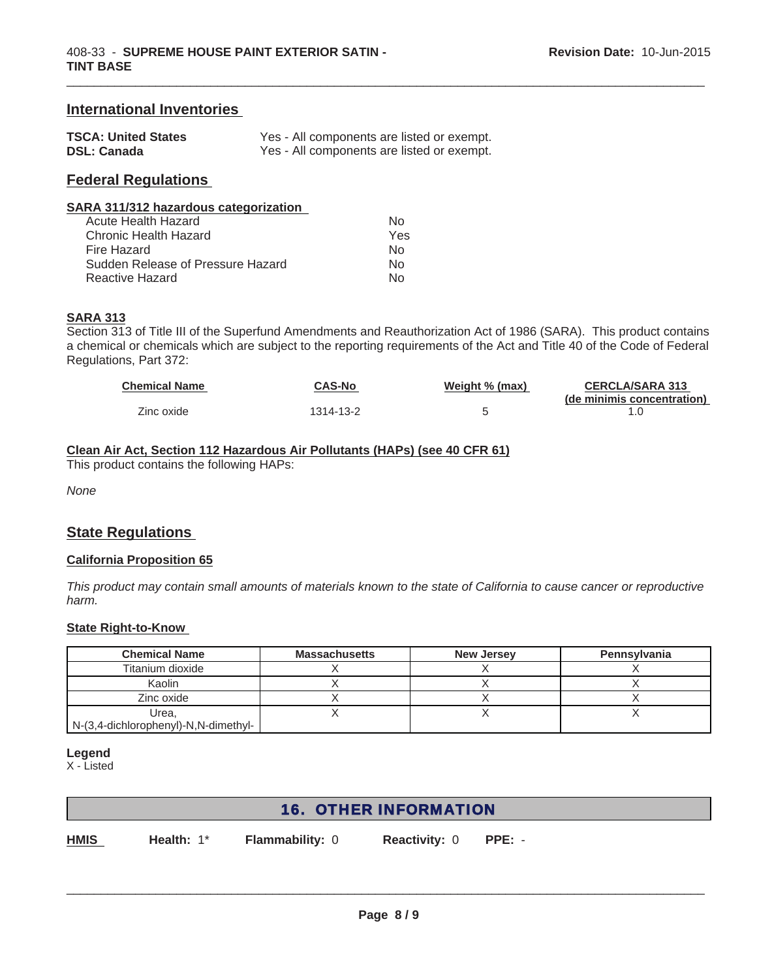# **International Inventories**

| <b>TSCA: United States</b> | Yes - All components are listed or exempt. |
|----------------------------|--------------------------------------------|
| <b>DSL: Canada</b>         | Yes - All components are listed or exempt. |

# **Federal Regulations**

| SARA 311/312 hazardous categorization |     |
|---------------------------------------|-----|
| Acute Health Hazard                   | N∩  |
| Chronic Health Hazard                 | Yes |
| Fire Hazard                           | N۵  |

Sudden Release of Pressure Hazard No Reactive Hazard No.

# **SARA 313**

Section 313 of Title III of the Superfund Amendments and Reauthorization Act of 1986 (SARA). This product contains a chemical or chemicals which are subject to the reporting requirements of the Act and Title 40 of the Code of Federal Regulations, Part 372:

 $\_$  ,  $\_$  ,  $\_$  ,  $\_$  ,  $\_$  ,  $\_$  ,  $\_$  ,  $\_$  ,  $\_$  ,  $\_$  ,  $\_$  ,  $\_$  ,  $\_$  ,  $\_$  ,  $\_$  ,  $\_$  ,  $\_$  ,  $\_$  ,  $\_$  ,  $\_$  ,  $\_$  ,  $\_$  ,  $\_$  ,  $\_$  ,  $\_$  ,  $\_$  ,  $\_$  ,  $\_$  ,  $\_$  ,  $\_$  ,  $\_$  ,  $\_$  ,  $\_$  ,  $\_$  ,  $\_$  ,  $\_$  ,  $\_$  ,

| <b>Chemical Name</b> | <b>CAS-No</b> | Weight % (max) | <b>CERCLA/SARA 313</b>     |
|----------------------|---------------|----------------|----------------------------|
|                      |               |                | (de minimis concentration) |
| Zinc oxide           | 1314-13-2     |                |                            |

## **Clean Air Act, Section 112 Hazardous Air Pollutants (HAPs) (see 40 CFR 61)**

This product contains the following HAPs:

*None*

# **State Regulations**

#### **California Proposition 65**

*This product may contain small amounts of materials known to the state of California to cause cancer or reproductive harm.*

## **State Right-to-Know**

| <b>Chemical Name</b>                 | <b>Massachusetts</b> | <b>New Jersey</b> | Pennsylvania |
|--------------------------------------|----------------------|-------------------|--------------|
| Titanium dioxide                     |                      |                   |              |
| Kaolin                               |                      |                   |              |
| Zinc oxide                           |                      |                   |              |
| Urea,                                |                      |                   |              |
| N-(3,4-dichlorophenyl)-N,N-dimethyl- |                      |                   |              |

**Legend**

X - Listed

# 16. OTHER INFORMATION

**HMIS**

**Health:** 1\*

**Flammability:** 0 **Reactivity:** 0 **PPE:** -